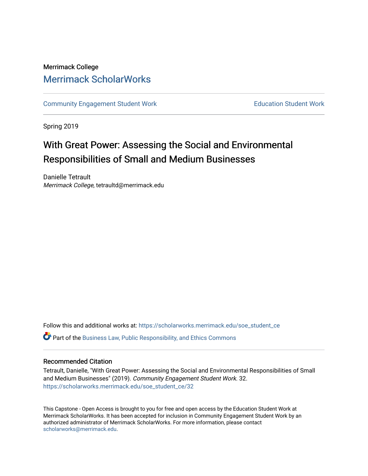## Merrimack College [Merrimack ScholarWorks](https://scholarworks.merrimack.edu/)

[Community Engagement Student Work](https://scholarworks.merrimack.edu/soe_student_ce) **Education Student Work** Education Student Work

Spring 2019

# With Great Power: Assessing the Social and Environmental Responsibilities of Small and Medium Businesses

Danielle Tetrault Merrimack College, tetraultd@merrimack.edu

Follow this and additional works at: [https://scholarworks.merrimack.edu/soe\\_student\\_ce](https://scholarworks.merrimack.edu/soe_student_ce?utm_source=scholarworks.merrimack.edu%2Fsoe_student_ce%2F32&utm_medium=PDF&utm_campaign=PDFCoverPages) 

Part of the [Business Law, Public Responsibility, and Ethics Commons](http://network.bepress.com/hgg/discipline/628?utm_source=scholarworks.merrimack.edu%2Fsoe_student_ce%2F32&utm_medium=PDF&utm_campaign=PDFCoverPages) 

### Recommended Citation

Tetrault, Danielle, "With Great Power: Assessing the Social and Environmental Responsibilities of Small and Medium Businesses" (2019). Community Engagement Student Work. 32. [https://scholarworks.merrimack.edu/soe\\_student\\_ce/32](https://scholarworks.merrimack.edu/soe_student_ce/32?utm_source=scholarworks.merrimack.edu%2Fsoe_student_ce%2F32&utm_medium=PDF&utm_campaign=PDFCoverPages)

This Capstone - Open Access is brought to you for free and open access by the Education Student Work at Merrimack ScholarWorks. It has been accepted for inclusion in Community Engagement Student Work by an authorized administrator of Merrimack ScholarWorks. For more information, please contact [scholarworks@merrimack.edu](mailto:scholarworks@merrimack.edu).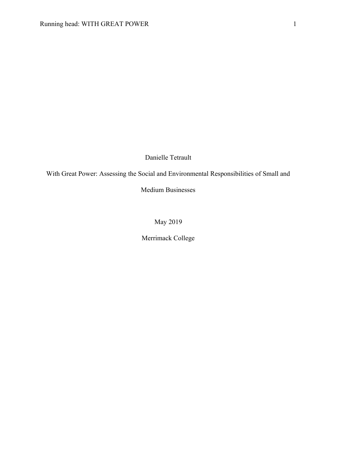Danielle Tetrault

With Great Power: Assessing the Social and Environmental Responsibilities of Small and

Medium Businesses

May 2019

Merrimack College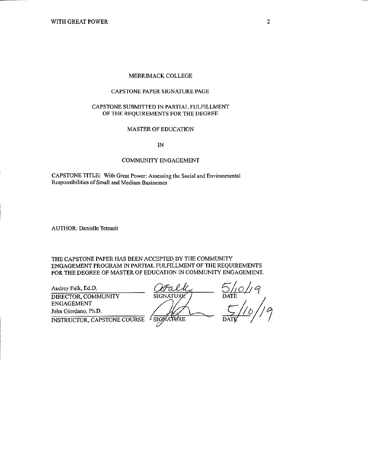#### MERRIMACK COLLEGE

#### CAPSTONE PAPER SIGNATURE PAGE

#### CAPSTONE SUBMITTED IN PARTIAL FULFILLMENT OF THE REQUIREMENTS FOR THE DEGREE

#### **MASTER OF EDUCATION**

 $IN$ 

#### **COMMUNITY ENGAGEMENT**

CAPSTONE TITLE: With Great Power: Assessing the Social and Environmental Responsibilities of Small and Medium Businesses

**AUTHOR: Danielle Tetrault** 

THE CAPSTONE PAPER HAS BEEN ACCEPTED BY THE COMMUNITY ENGAGEMENT PROGRAM IN PARTIAL FULFILLMENT OF THE REQUIREMENTS FOR THE DEGREE OF MASTER OF EDUCATION IN COMMUNITY ENGAGEMENT.

Audrey Falk, Ed.D. DIRECTOR, COMMUNITY **ENGAGEMENT** John Giordano, Ph.D.

**INSTRUCTOR, CAPSTONE COURSE** 

**SIGNATURE** 

DATE

SIGNATURE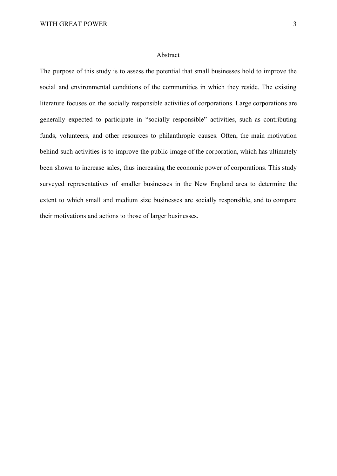### Abstract

The purpose of this study is to assess the potential that small businesses hold to improve the social and environmental conditions of the communities in which they reside. The existing literature focuses on the socially responsible activities of corporations. Large corporations are generally expected to participate in "socially responsible" activities, such as contributing funds, volunteers, and other resources to philanthropic causes. Often, the main motivation behind such activities is to improve the public image of the corporation, which has ultimately been shown to increase sales, thus increasing the economic power of corporations. This study surveyed representatives of smaller businesses in the New England area to determine the extent to which small and medium size businesses are socially responsible, and to compare their motivations and actions to those of larger businesses.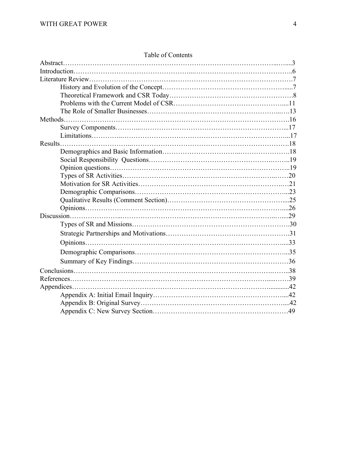| Table of Contents |  |
|-------------------|--|
|                   |  |
|                   |  |
|                   |  |
|                   |  |
|                   |  |
|                   |  |
|                   |  |
|                   |  |
|                   |  |
|                   |  |
|                   |  |
|                   |  |
|                   |  |
|                   |  |
|                   |  |
|                   |  |
|                   |  |
|                   |  |
|                   |  |
|                   |  |
|                   |  |
|                   |  |
|                   |  |
|                   |  |
|                   |  |
|                   |  |
|                   |  |
|                   |  |
|                   |  |
|                   |  |
|                   |  |
|                   |  |

### Table of Contents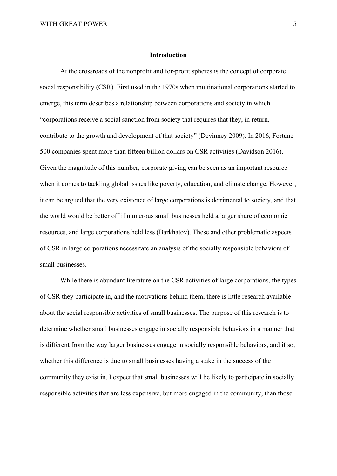### **Introduction**

At the crossroads of the nonprofit and for-profit spheres is the concept of corporate social responsibility (CSR). First used in the 1970s when multinational corporations started to emerge, this term describes a relationship between corporations and society in which "corporations receive a social sanction from society that requires that they, in return, contribute to the growth and development of that society" (Devinney 2009). In 2016, Fortune 500 companies spent more than fifteen billion dollars on CSR activities (Davidson 2016). Given the magnitude of this number, corporate giving can be seen as an important resource when it comes to tackling global issues like poverty, education, and climate change. However, it can be argued that the very existence of large corporations is detrimental to society, and that the world would be better off if numerous small businesses held a larger share of economic resources, and large corporations held less (Barkhatov). These and other problematic aspects of CSR in large corporations necessitate an analysis of the socially responsible behaviors of small businesses.

While there is abundant literature on the CSR activities of large corporations, the types of CSR they participate in, and the motivations behind them, there is little research available about the social responsible activities of small businesses. The purpose of this research is to determine whether small businesses engage in socially responsible behaviors in a manner that is different from the way larger businesses engage in socially responsible behaviors, and if so, whether this difference is due to small businesses having a stake in the success of the community they exist in. I expect that small businesses will be likely to participate in socially responsible activities that are less expensive, but more engaged in the community, than those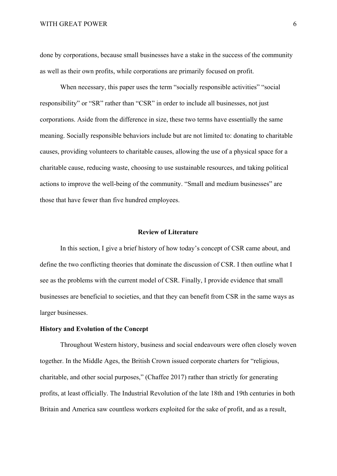#### WITH GREAT POWER 6

done by corporations, because small businesses have a stake in the success of the community as well as their own profits, while corporations are primarily focused on profit.

When necessary, this paper uses the term "socially responsible activities" "social responsibility" or "SR" rather than "CSR" in order to include all businesses, not just corporations. Aside from the difference in size, these two terms have essentially the same meaning. Socially responsible behaviors include but are not limited to: donating to charitable causes, providing volunteers to charitable causes, allowing the use of a physical space for a charitable cause, reducing waste, choosing to use sustainable resources, and taking political actions to improve the well-being of the community. "Small and medium businesses" are those that have fewer than five hundred employees.

#### **Review of Literature**

In this section, I give a brief history of how today's concept of CSR came about, and define the two conflicting theories that dominate the discussion of CSR. I then outline what I see as the problems with the current model of CSR. Finally, I provide evidence that small businesses are beneficial to societies, and that they can benefit from CSR in the same ways as larger businesses.

### **History and Evolution of the Concept**

Throughout Western history, business and social endeavours were often closely woven together. In the Middle Ages, the British Crown issued corporate charters for "religious, charitable, and other social purposes," (Chaffee 2017) rather than strictly for generating profits, at least officially. The Industrial Revolution of the late 18th and 19th centuries in both Britain and America saw countless workers exploited for the sake of profit, and as a result,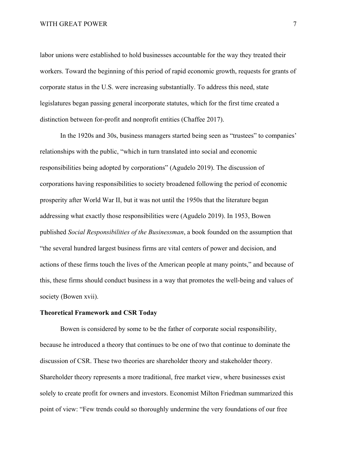labor unions were established to hold businesses accountable for the way they treated their workers. Toward the beginning of this period of rapid economic growth, requests for grants of corporate status in the U.S. were increasing substantially. To address this need, state legislatures began passing general incorporate statutes, which for the first time created a distinction between for-profit and nonprofit entities (Chaffee 2017).

In the 1920s and 30s, business managers started being seen as "trustees" to companies' relationships with the public, "which in turn translated into social and economic responsibilities being adopted by corporations" (Agudelo 2019). The discussion of corporations having responsibilities to society broadened following the period of economic prosperity after World War II, but it was not until the 1950s that the literature began addressing what exactly those responsibilities were (Agudelo 2019). In 1953, Bowen published *Social Responsibilities of the Businessman*, a book founded on the assumption that "the several hundred largest business firms are vital centers of power and decision, and actions of these firms touch the lives of the American people at many points," and because of this, these firms should conduct business in a way that promotes the well-being and values of society (Bowen xvii).

#### **Theoretical Framework and CSR Today**

Bowen is considered by some to be the father of corporate social responsibility, because he introduced a theory that continues to be one of two that continue to dominate the discussion of CSR. These two theories are shareholder theory and stakeholder theory. Shareholder theory represents a more traditional, free market view, where businesses exist solely to create profit for owners and investors. Economist Milton Friedman summarized this point of view: "Few trends could so thoroughly undermine the very foundations of our free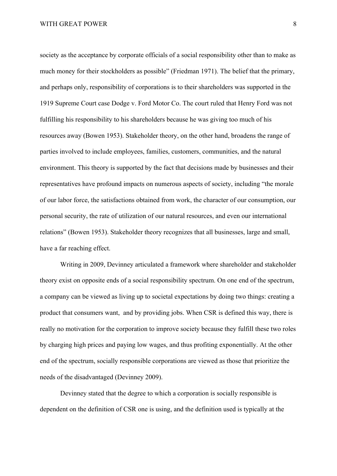society as the acceptance by corporate officials of a social responsibility other than to make as much money for their stockholders as possible" (Friedman 1971). The belief that the primary, and perhaps only, responsibility of corporations is to their shareholders was supported in the 1919 Supreme Court case Dodge v. Ford Motor Co. The court ruled that Henry Ford was not fulfilling his responsibility to his shareholders because he was giving too much of his resources away (Bowen 1953). Stakeholder theory, on the other hand, broadens the range of parties involved to include employees, families, customers, communities, and the natural environment. This theory is supported by the fact that decisions made by businesses and their representatives have profound impacts on numerous aspects of society, including "the morale of our labor force, the satisfactions obtained from work, the character of our consumption, our personal security, the rate of utilization of our natural resources, and even our international relations" (Bowen 1953). Stakeholder theory recognizes that all businesses, large and small, have a far reaching effect.

Writing in 2009, Devinney articulated a framework where shareholder and stakeholder theory exist on opposite ends of a social responsibility spectrum. On one end of the spectrum, a company can be viewed as living up to societal expectations by doing two things: creating a product that consumers want, and by providing jobs. When CSR is defined this way, there is really no motivation for the corporation to improve society because they fulfill these two roles by charging high prices and paying low wages, and thus profiting exponentially. At the other end of the spectrum, socially responsible corporations are viewed as those that prioritize the needs of the disadvantaged (Devinney 2009).

Devinney stated that the degree to which a corporation is socially responsible is dependent on the definition of CSR one is using, and the definition used is typically at the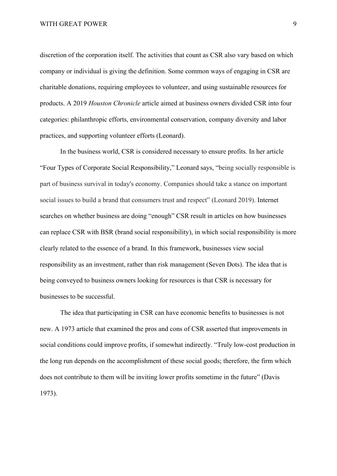WITH GREAT POWER 9

discretion of the corporation itself. The activities that count as CSR also vary based on which company or individual is giving the definition. Some common ways of engaging in CSR are charitable donations, requiring employees to volunteer, and using sustainable resources for products. A 2019 *Houston Chronicle* article aimed at business owners divided CSR into four categories: philanthropic efforts, environmental conservation, company diversity and labor practices, and supporting volunteer efforts (Leonard).

In the business world, CSR is considered necessary to ensure profits. In her article "Four Types of Corporate Social Responsibility," Leonard says, "being socially responsible is part of business survival in today's economy. Companies should take a stance on important social issues to build a brand that consumers trust and respect" (Leonard 2019). Internet searches on whether business are doing "enough" CSR result in articles on how businesses can replace CSR with BSR (brand social responsibility), in which social responsibility is more clearly related to the essence of a brand. In this framework, businesses view social responsibility as an investment, rather than risk management (Seven Dots). The idea that is being conveyed to business owners looking for resources is that CSR is necessary for businesses to be successful.

The idea that participating in CSR can have economic benefits to businesses is not new. A 1973 article that examined the pros and cons of CSR asserted that improvements in social conditions could improve profits, if somewhat indirectly. "Truly low-cost production in the long run depends on the accomplishment of these social goods; therefore, the firm which does not contribute to them will be inviting lower profits sometime in the future" (Davis 1973).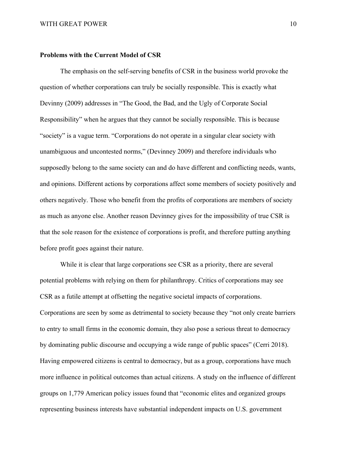### **Problems with the Current Model of CSR**

The emphasis on the self-serving benefits of CSR in the business world provoke the question of whether corporations can truly be socially responsible. This is exactly what Devinny (2009) addresses in "The Good, the Bad, and the Ugly of Corporate Social Responsibility" when he argues that they cannot be socially responsible. This is because "society" is a vague term. "Corporations do not operate in a singular clear society with unambiguous and uncontested norms," (Devinney 2009) and therefore individuals who supposedly belong to the same society can and do have different and conflicting needs, wants, and opinions. Different actions by corporations affect some members of society positively and others negatively. Those who benefit from the profits of corporations are members of society as much as anyone else. Another reason Devinney gives for the impossibility of true CSR is that the sole reason for the existence of corporations is profit, and therefore putting anything before profit goes against their nature.

While it is clear that large corporations see CSR as a priority, there are several potential problems with relying on them for philanthropy. Critics of corporations may see CSR as a futile attempt at offsetting the negative societal impacts of corporations. Corporations are seen by some as detrimental to society because they "not only create barriers to entry to small firms in the economic domain, they also pose a serious threat to democracy by dominating public discourse and occupying a wide range of public spaces" (Cerri 2018). Having empowered citizens is central to democracy, but as a group, corporations have much more influence in political outcomes than actual citizens. A study on the influence of different groups on 1,779 American policy issues found that "economic elites and organized groups representing business interests have substantial independent impacts on U.S. government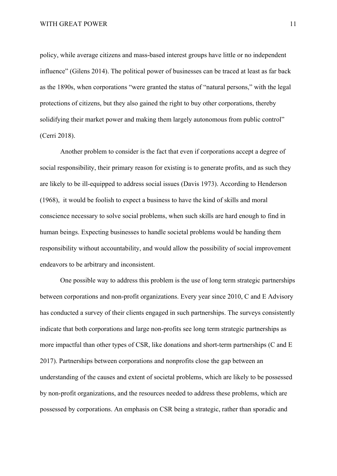policy, while average citizens and mass-based interest groups have little or no independent influence" (Gilens 2014). The political power of businesses can be traced at least as far back as the 1890s, when corporations "were granted the status of "natural persons," with the legal protections of citizens, but they also gained the right to buy other corporations, thereby solidifying their market power and making them largely autonomous from public control" (Cerri 2018).

Another problem to consider is the fact that even if corporations accept a degree of social responsibility, their primary reason for existing is to generate profits, and as such they are likely to be ill-equipped to address social issues (Davis 1973). According to Henderson (1968), it would be foolish to expect a business to have the kind of skills and moral conscience necessary to solve social problems, when such skills are hard enough to find in human beings. Expecting businesses to handle societal problems would be handing them responsibility without accountability, and would allow the possibility of social improvement endeavors to be arbitrary and inconsistent.

One possible way to address this problem is the use of long term strategic partnerships between corporations and non-profit organizations. Every year since 2010, C and E Advisory has conducted a survey of their clients engaged in such partnerships. The surveys consistently indicate that both corporations and large non-profits see long term strategic partnerships as more impactful than other types of CSR, like donations and short-term partnerships (C and E 2017). Partnerships between corporations and nonprofits close the gap between an understanding of the causes and extent of societal problems, which are likely to be possessed by non-profit organizations, and the resources needed to address these problems, which are possessed by corporations. An emphasis on CSR being a strategic, rather than sporadic and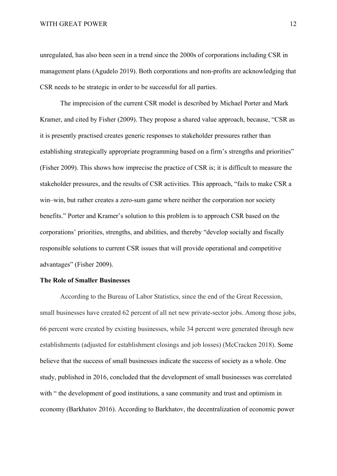#### WITH GREAT POWER 12

unregulated, has also been seen in a trend since the 2000s of corporations including CSR in management plans (Agudelo 2019). Both corporations and non-profits are acknowledging that CSR needs to be strategic in order to be successful for all parties.

The imprecision of the current CSR model is described by Michael Porter and Mark Kramer, and cited by Fisher (2009). They propose a shared value approach, because, "CSR as it is presently practised creates generic responses to stakeholder pressures rather than establishing strategically appropriate programming based on a firm's strengths and priorities" (Fisher 2009). This shows how imprecise the practice of CSR is; it is difficult to measure the stakeholder pressures, and the results of CSR activities. This approach, "fails to make CSR a win–win, but rather creates a zero-sum game where neither the corporation nor society benefits." Porter and Kramer's solution to this problem is to approach CSR based on the corporations' priorities, strengths, and abilities, and thereby "develop socially and fiscally responsible solutions to current CSR issues that will provide operational and competitive advantages" (Fisher 2009).

### **The Role of Smaller Businesses**

According to the Bureau of Labor Statistics, since the end of the Great Recession, small businesses have created 62 percent of all net new private-sector jobs. Among those jobs, 66 percent were created by existing businesses, while 34 percent were generated through new establishments (adjusted for establishment closings and job losses) (McCracken 2018). Some believe that the success of small businesses indicate the success of society as a whole. One study, published in 2016, concluded that the development of small businesses was correlated with " the development of good institutions, a sane community and trust and optimism in economy (Barkhatov 2016). According to Barkhatov, the decentralization of economic power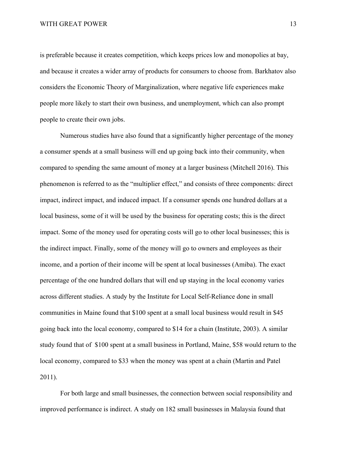is preferable because it creates competition, which keeps prices low and monopolies at bay, and because it creates a wider array of products for consumers to choose from. Barkhatov also considers the Economic Theory of Marginalization, where negative life experiences make people more likely to start their own business, and unemployment, which can also prompt people to create their own jobs.

Numerous studies have also found that a significantly higher percentage of the money a consumer spends at a small business will end up going back into their community, when compared to spending the same amount of money at a larger business (Mitchell 2016). This phenomenon is referred to as the "multiplier effect," and consists of three components: direct impact, indirect impact, and induced impact. If a consumer spends one hundred dollars at a local business, some of it will be used by the business for operating costs; this is the direct impact. Some of the money used for operating costs will go to other local businesses; this is the indirect impact. Finally, some of the money will go to owners and employees as their income, and a portion of their income will be spent at local businesses (Amiba). The exact percentage of the one hundred dollars that will end up staying in the local economy varies across different studies. A study by the Institute for Local Self-Reliance done in small communities in Maine found that \$100 spent at a small local business would result in \$45 going back into the local economy, compared to \$14 for a chain (Institute, 2003). A similar study found that of \$100 spent at a small business in Portland, Maine, \$58 would return to the local economy, compared to \$33 when the money was spent at a chain (Martin and Patel 2011).

For both large and small businesses, the connection between social responsibility and improved performance is indirect. A study on 182 small businesses in Malaysia found that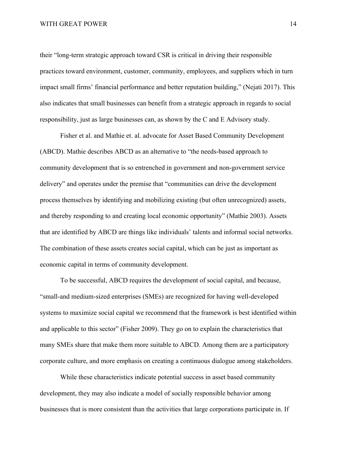their "long-term strategic approach toward CSR is critical in driving their responsible practices toward environment, customer, community, employees, and suppliers which in turn impact small firms' financial performance and better reputation building," (Nejati 2017). This also indicates that small businesses can benefit from a strategic approach in regards to social responsibility, just as large businesses can, as shown by the C and E Advisory study.

Fisher et al. and Mathie et. al. advocate for Asset Based Community Development (ABCD). Mathie describes ABCD as an alternative to "the needs-based approach to community development that is so entrenched in government and non-government service delivery" and operates under the premise that "communities can drive the development process themselves by identifying and mobilizing existing (but often unrecognized) assets, and thereby responding to and creating local economic opportunity" (Mathie 2003). Assets that are identified by ABCD are things like individuals' talents and informal social networks. The combination of these assets creates social capital, which can be just as important as economic capital in terms of community development.

To be successful, ABCD requires the development of social capital, and because, "small-and medium-sized enterprises (SMEs) are recognized for having well-developed systems to maximize social capital we recommend that the framework is best identified within and applicable to this sector" (Fisher 2009). They go on to explain the characteristics that many SMEs share that make them more suitable to ABCD. Among them are a participatory corporate culture, and more emphasis on creating a continuous dialogue among stakeholders.

While these characteristics indicate potential success in asset based community development, they may also indicate a model of socially responsible behavior among businesses that is more consistent than the activities that large corporations participate in. If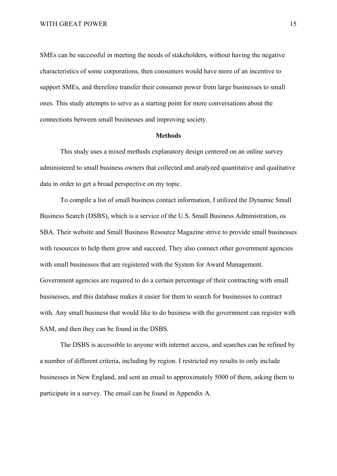SMEs can be successful in meeting the needs of stakeholders, without having the negative characteristics of some corporations, then consumers would have more of an incentive to support SMEs, and therefore transfer their consumer power from large businesses to small ones. This study attempts to serve as a starting point for more conversations about the connections between small businesses and improving society.

### **Methods**

This study uses a mixed methods explanatory design centered on an online survey administered to small business owners that collected and analyzed quantitative and qualitative data in order to get a broad perspective on my topic.

To compile a list of small business contact information, I utilized the Dynamic Small Business Search (DSBS), which is a service of the U.S. Small Business Administration, os SBA. Their website and Small Business Resource Magazine strive to provide small businesses with resources to help them grow and succeed. They also connect other government agencies with small businesses that are registered with the System for Award Management. Government agencies are required to do a certain percentage of their contracting with small businesses, and this database makes it easier for them to search for businesses to contract with. Any small business that would like to do business with the government can register with SAM, and then they can be found in the DSBS.

The DSBS is accessible to anyone with internet access, and searches can be refined by a number of different criteria, including by region. I restricted my results to only include businesses in New England, and sent an email to approximately 5000 of them, asking them to participate in a survey. The email can be found in Appendix A.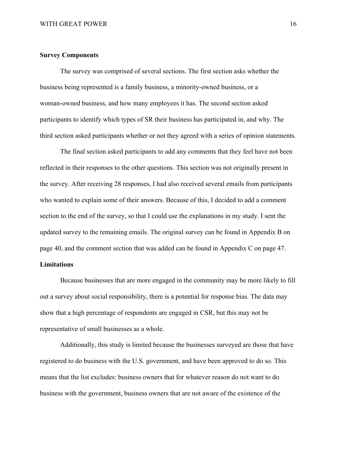### **Survey Components**

The survey was comprised of several sections. The first section asks whether the business being represented is a family business, a minority-owned business, or a woman-owned business, and how many employees it has. The second section asked participants to identify which types of SR their business has participated in, and why. The third section asked participants whether or not they agreed with a series of opinion statements.

The final section asked participants to add any comments that they feel have not been reflected in their responses to the other questions. This section was not originally present in the survey. After receiving 28 responses, I had also received several emails from participants who wanted to explain some of their answers. Because of this, I decided to add a comment section to the end of the survey, so that I could use the explanations in my study. I sent the updated survey to the remaining emails. The original survey can be found in Appendix B on page 40, and the comment section that was added can be found in Appendix C on page 47.

### **Limitations**

Because businesses that are more engaged in the community may be more likely to fill out a survey about social responsibility, there is a potential for response bias. The data may show that a high percentage of respondents are engaged in CSR, but this may not be representative of small businesses as a whole.

Additionally, this study is limited because the businesses surveyed are those that have registered to do business with the U.S. government, and have been approved to do so. This means that the list excludes: business owners that for whatever reason do not want to do business with the government, business owners that are not aware of the existence of the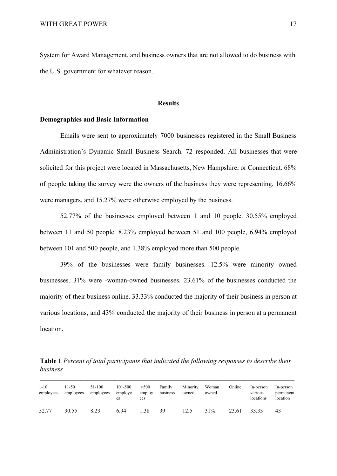System for Award Management, and business owners that are not allowed to do business with the U.S. government for whatever reason.

### **Results**

### **Demographics and Basic Information**

Emails were sent to approximately 7000 businesses registered in the Small Business Administration's Dynamic Small Business Search. 72 responded. All businesses that were solicited for this project were located in Massachusetts, New Hampshire, or Connecticut. 68% of people taking the survey were the owners of the business they were representing. 16.66% were managers, and 15.27% were otherwise employed by the business.

52.77% of the businesses employed between 1 and 10 people. 30.55% employed between 11 and 50 people. 8.23% employed between 51 and 100 people, 6.94% employed between 101 and 500 people, and 1.38% employed more than 500 people.

39% of the businesses were family businesses. 12.5% were minority owned businesses. 31% were -woman-owned businesses. 23.61% of the businesses conducted the majority of their business online. 33.33% conducted the majority of their business in person at various locations, and 43% conducted the majority of their business in person at a permanent location.

**Table 1** *Percent of total participants that indicated the following responses to describe their business*

| $1 - 10$<br>employees | $11-50$<br>employees | 51-100<br>employees | 101-500<br>employe<br>es | >500<br>employ<br>ees | Family<br>business | Minority<br>owned | Woman<br>owned | Online | In-person<br>various<br>locations | In-person<br>permanent<br>location |
|-----------------------|----------------------|---------------------|--------------------------|-----------------------|--------------------|-------------------|----------------|--------|-----------------------------------|------------------------------------|
| 52.77                 | 30.55                | 8.23                | 6.94                     | 1.38                  | 39                 | 12.5              | 31%            | 23.61  | 33.33                             | 43                                 |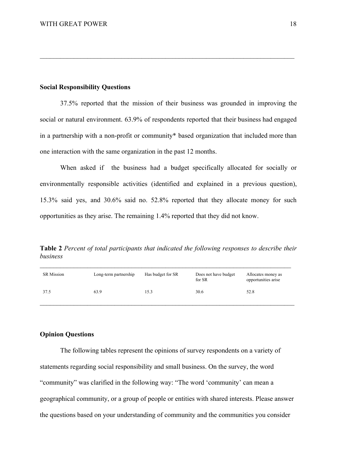### **Social Responsibility Questions**

37.5% reported that the mission of their business was grounded in improving the social or natural environment. 63.9% of respondents reported that their business had engaged in a partnership with a non-profit or community\* based organization that included more than one interaction with the same organization in the past 12 months.

 $\mathcal{L}_\mathcal{L} = \{ \mathcal{L}_\mathcal{L} = \{ \mathcal{L}_\mathcal{L} = \{ \mathcal{L}_\mathcal{L} = \{ \mathcal{L}_\mathcal{L} = \{ \mathcal{L}_\mathcal{L} = \{ \mathcal{L}_\mathcal{L} = \{ \mathcal{L}_\mathcal{L} = \{ \mathcal{L}_\mathcal{L} = \{ \mathcal{L}_\mathcal{L} = \{ \mathcal{L}_\mathcal{L} = \{ \mathcal{L}_\mathcal{L} = \{ \mathcal{L}_\mathcal{L} = \{ \mathcal{L}_\mathcal{L} = \{ \mathcal{L}_\mathcal{$ 

When asked if the business had a budget specifically allocated for socially or environmentally responsible activities (identified and explained in a previous question), 15.3% said yes, and 30.6% said no. 52.8% reported that they allocate money for such opportunities as they arise. The remaining 1.4% reported that they did not know.

**Table 2** *Percent of total participants that indicated the following responses to describe their business*

| <b>SR</b> Mission | Long-term partnership | Has budget for SR | Does not have budget<br>for SR | Allocates money as<br>opportunities arise |
|-------------------|-----------------------|-------------------|--------------------------------|-------------------------------------------|
| 37.5              | 63.9                  | 15.3              | 30.6                           | 52.8                                      |

### **Opinion Questions**

The following tables represent the opinions of survey respondents on a variety of statements regarding social responsibility and small business. On the survey, the word "community" was clarified in the following way: "The word 'community' can mean a geographical community, or a group of people or entities with shared interests. Please answer the questions based on your understanding of community and the communities you consider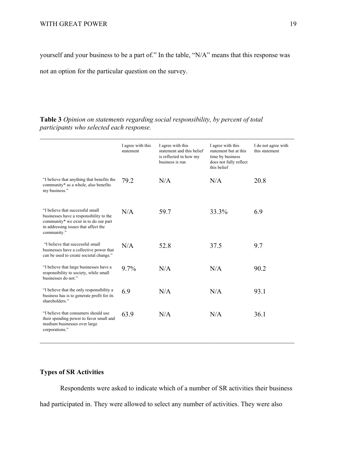yourself and your business to be a part of." In the table, "N/A" means that this response was

not an option for the particular question on the survey.

|                                                                                                                                                                             | I agree with this<br>statement | I agree with this<br>statement and this belief<br>is reflected in how my<br>business is run | I agree with this<br>statement but at this<br>time by business<br>does not fully reflect<br>this belief | I do not agree with<br>this statement |
|-----------------------------------------------------------------------------------------------------------------------------------------------------------------------------|--------------------------------|---------------------------------------------------------------------------------------------|---------------------------------------------------------------------------------------------------------|---------------------------------------|
| "I believe that anything that benefits the<br>community* as a whole, also benefits<br>my business."                                                                         | 79.2                           | N/A                                                                                         | N/A                                                                                                     | 20.8                                  |
| "I believe that successful small<br>businesses have a responsibility to the<br>community* we exist in to do our part<br>in addressing issues that affect the<br>community." | N/A                            | 59.7                                                                                        | 33.3%                                                                                                   | 6.9                                   |
| "I believe that successful small<br>businesses have a collective power that<br>can be used to create societal change."                                                      | N/A                            | 52.8                                                                                        | 37.5                                                                                                    | 9.7                                   |
| "I believe that large businesses have a<br>responsibility to society, while small<br>businesses do not."                                                                    | $9.7\%$                        | N/A                                                                                         | N/A                                                                                                     | 90.2                                  |
| "I believe that the only responsibility a<br>business has is to generate profit for its<br>shareholders."                                                                   | 6.9                            | N/A                                                                                         | N/A                                                                                                     | 93.1                                  |
| "I believe that consumers should use<br>their spending power to favor small and<br>medium businesses over large<br>corporations."                                           | 63.9                           | N/A                                                                                         | N/A                                                                                                     | 36.1                                  |

**Table 3** *Opinion on statements regarding social responsibility, by percent of total participants who selected each response.*

### **Types of SR Activities**

Respondents were asked to indicate which of a number of SR activities their business had participated in. They were allowed to select any number of activities. They were also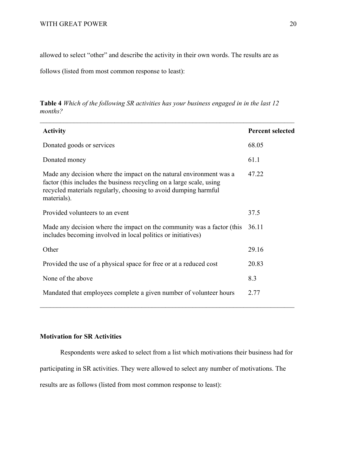allowed to select "other" and describe the activity in their own words. The results are as

follows (listed from most common response to least):

**Table 4** *Which of the following SR activities has your business engaged in in the last 12 months?*

| <b>Activity</b>                                                                                                                                                                                                               | <b>Percent selected</b> |
|-------------------------------------------------------------------------------------------------------------------------------------------------------------------------------------------------------------------------------|-------------------------|
| Donated goods or services                                                                                                                                                                                                     | 68.05                   |
| Donated money                                                                                                                                                                                                                 | 61.1                    |
| Made any decision where the impact on the natural environment was a<br>factor (this includes the business recycling on a large scale, using<br>recycled materials regularly, choosing to avoid dumping harmful<br>materials). | 47.22                   |
| Provided volunteers to an event                                                                                                                                                                                               | 37.5                    |
| Made any decision where the impact on the community was a factor (this<br>includes becoming involved in local politics or initiatives)                                                                                        | 36.11                   |
| Other                                                                                                                                                                                                                         | 29.16                   |
| Provided the use of a physical space for free or at a reduced cost                                                                                                                                                            | 20.83                   |
| None of the above                                                                                                                                                                                                             | 8.3                     |
| Mandated that employees complete a given number of volunteer hours                                                                                                                                                            | 2.77                    |

### **Motivation for SR Activities**

Respondents were asked to select from a list which motivations their business had for

participating in SR activities. They were allowed to select any number of motivations. The

results are as follows (listed from most common response to least):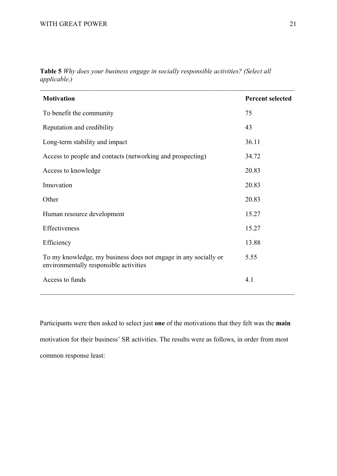| <b>Motivation</b>                                                                                         | <b>Percent selected</b> |
|-----------------------------------------------------------------------------------------------------------|-------------------------|
| To benefit the community                                                                                  | 75                      |
| Reputation and credibility                                                                                | 43                      |
| Long-term stability and impact                                                                            | 36.11                   |
| Access to people and contacts (networking and prospecting)                                                | 34.72                   |
| Access to knowledge                                                                                       | 20.83                   |
| Innovation                                                                                                | 20.83                   |
| Other                                                                                                     | 20.83                   |
| Human resource development                                                                                | 15.27                   |
| Effectiveness                                                                                             | 15.27                   |
| Efficiency                                                                                                | 13.88                   |
| To my knowledge, my business does not engage in any socially or<br>environmentally responsible activities | 5.55                    |
| Access to funds                                                                                           | 4.1                     |

**Table 5** *Why does your business engage in socially responsible activities? (Select all applicable.)*

Participants were then asked to select just **one** of the motivations that they felt was the **main** motivation for their business' SR activities. The results were as follows, in order from most common response least: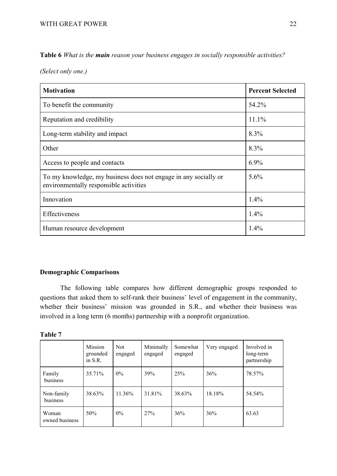**Table 6** *What is the main reason your business engages in socially responsible activities?*

*(Select only one.)*

| <b>Motivation</b>                                                                                         | <b>Percent Selected</b> |
|-----------------------------------------------------------------------------------------------------------|-------------------------|
| To benefit the community                                                                                  | 54.2%                   |
| Reputation and credibility                                                                                | 11.1%                   |
| Long-term stability and impact                                                                            | 8.3%                    |
| Other                                                                                                     | 8.3%                    |
| Access to people and contacts                                                                             | $6.9\%$                 |
| To my knowledge, my business does not engage in any socially or<br>environmentally responsible activities | 5.6%                    |
| Innovation                                                                                                | $1.4\%$                 |
| Effectiveness                                                                                             | 1.4%                    |
| Human resource development                                                                                | 1.4%                    |

### **Demographic Comparisons**

The following table compares how different demographic groups responded to questions that asked them to self-rank their business' level of engagement in the community, whether their business' mission was grounded in S.R., and whether their business was involved in a long term (6 months) partnership with a nonprofit organization.

|  | ını<br>и<br>ı |  |
|--|---------------|--|
|--|---------------|--|

|                         | <b>Mission</b><br>grounded<br>in $S.R.$ | <b>Not</b><br>engaged | Minimally<br>engaged | Somewhat<br>engaged | Very engaged | Involved in<br>long-term<br>partnership |
|-------------------------|-----------------------------------------|-----------------------|----------------------|---------------------|--------------|-----------------------------------------|
| Family<br>business      | 35.71%                                  | $0\%$                 | 39%                  | 25%                 | 36%          | 78.57%                                  |
| Non-family<br>business  | 38.63%                                  | 11.36%                | 31.81%               | 38.63%              | 18.18%       | 54.54%                                  |
| Woman<br>owned business | 50%                                     | $0\%$                 | 27%                  | 36%                 | 36%          | 63.63                                   |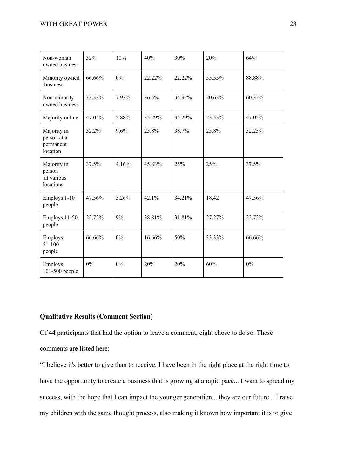| Non-woman<br>owned business                         | 32%    | 10%   | 40%    | 30%    | 20%    | 64%    |
|-----------------------------------------------------|--------|-------|--------|--------|--------|--------|
| Minority owned<br>business                          | 66.66% | $0\%$ | 22.22% | 22.22% | 55.55% | 88.88% |
| Non-minority<br>owned business                      | 33.33% | 7.93% | 36.5%  | 34.92% | 20.63% | 60.32% |
| Majority online                                     | 47.05% | 5.88% | 35.29% | 35.29% | 23.53% | 47.05% |
| Majority in<br>person at a<br>permanent<br>location | 32.2%  | 9.6%  | 25.8%  | 38.7%  | 25.8%  | 32.25% |
| Majority in<br>person<br>at various<br>locations    | 37.5%  | 4.16% | 45.83% | 25%    | 25%    | 37.5%  |
| Employs 1-10<br>people                              | 47.36% | 5.26% | 42.1%  | 34.21% | 18.42  | 47.36% |
| Employs 11-50<br>people                             | 22.72% | 9%    | 38.81% | 31.81% | 27.27% | 22.72% |
| Employs<br>51-100<br>people                         | 66.66% | 0%    | 16.66% | 50%    | 33.33% | 66.66% |
| Employs<br>101-500 people                           | $0\%$  | 0%    | 20%    | 20%    | 60%    | $0\%$  |

### **Qualitative Results (Comment Section)**

Of 44 participants that had the option to leave a comment, eight chose to do so. These comments are listed here:

"I believe it's better to give than to receive. I have been in the right place at the right time to have the opportunity to create a business that is growing at a rapid pace... I want to spread my success, with the hope that I can impact the younger generation... they are our future... I raise my children with the same thought process, also making it known how important it is to give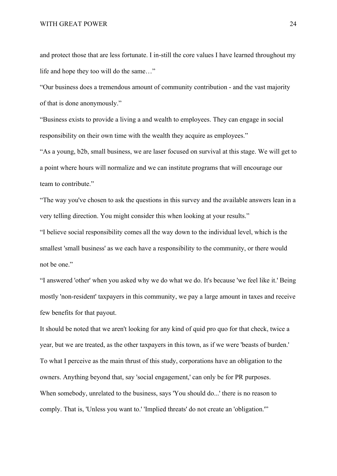and protect those that are less fortunate. I in-still the core values I have learned throughout my life and hope they too will do the same…"

"Our business does a tremendous amount of community contribution - and the vast majority of that is done anonymously."

"Business exists to provide a living a and wealth to employees. They can engage in social responsibility on their own time with the wealth they acquire as employees."

"As a young, b2b, small business, we are laser focused on survival at this stage. We will get to a point where hours will normalize and we can institute programs that will encourage our team to contribute."

"The way you've chosen to ask the questions in this survey and the available answers lean in a very telling direction. You might consider this when looking at your results."

"I believe social responsibility comes all the way down to the individual level, which is the smallest 'small business' as we each have a responsibility to the community, or there would not be one."

"I answered 'other' when you asked why we do what we do. It's because 'we feel like it.' Being mostly 'non-resident' taxpayers in this community, we pay a large amount in taxes and receive few benefits for that payout.

It should be noted that we aren't looking for any kind of quid pro quo for that check, twice a year, but we are treated, as the other taxpayers in this town, as if we were 'beasts of burden.' To what I perceive as the main thrust of this study, corporations have an obligation to the owners. Anything beyond that, say 'social engagement,' can only be for PR purposes. When somebody, unrelated to the business, says 'You should do...' there is no reason to comply. That is, 'Unless you want to.' 'Implied threats' do not create an 'obligation.'"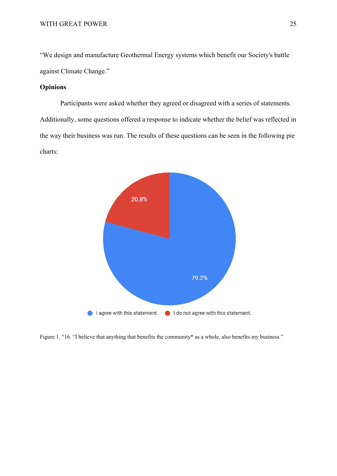"We design and manufacture Geothermal Energy systems which benefit our Society's battle against Climate Change."

### **Opinions**

Participants were asked whether they agreed or disagreed with a series of statements. Additionally, some questions offered a response to indicate whether the belief was reflected in the way their business was run. The results of these questions can be seen in the following pie charts:



Figure 1. "16. "I believe that anything that benefits the community\* as a whole, also benefits my business."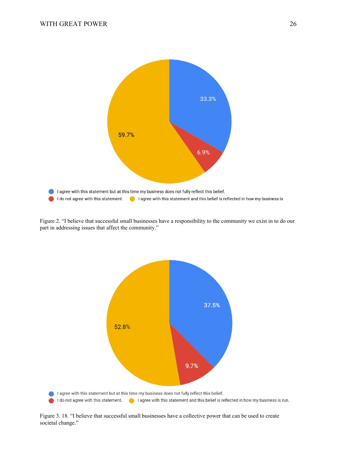

Figure 2. "I believe that successful small businesses have a responsibility to the community we exist in to do our part in addressing issues that affect the community."



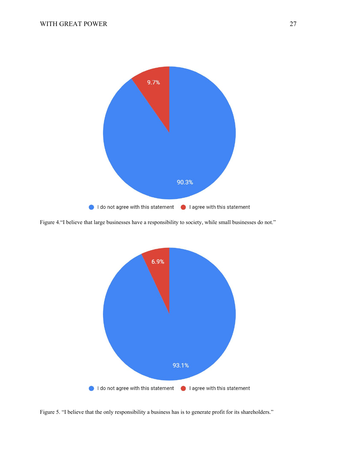

Figure 4."I believe that large businesses have a responsibility to society, while small businesses do not."



Figure 5. "I believe that the only responsibility a business has is to generate profit for its shareholders."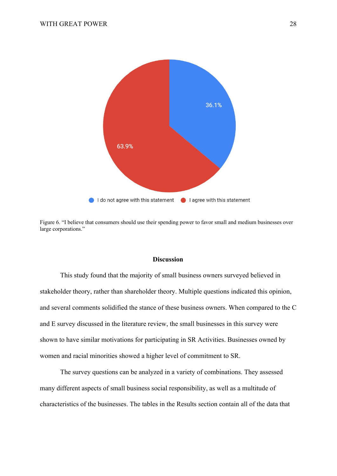

Figure 6. "I believe that consumers should use their spending power to favor small and medium businesses over large corporations."

### **Discussion**

This study found that the majority of small business owners surveyed believed in stakeholder theory, rather than shareholder theory. Multiple questions indicated this opinion, and several comments solidified the stance of these business owners. When compared to the C and E survey discussed in the literature review, the small businesses in this survey were shown to have similar motivations for participating in SR Activities. Businesses owned by women and racial minorities showed a higher level of commitment to SR.

The survey questions can be analyzed in a variety of combinations. They assessed many different aspects of small business social responsibility, as well as a multitude of characteristics of the businesses. The tables in the Results section contain all of the data that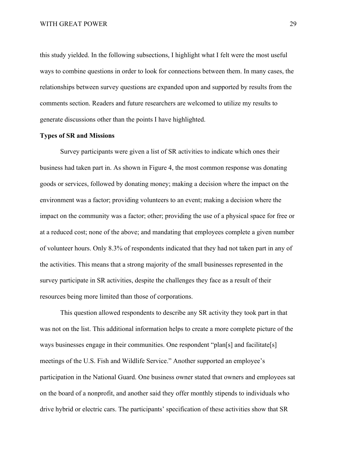this study yielded. In the following subsections, I highlight what I felt were the most useful ways to combine questions in order to look for connections between them. In many cases, the relationships between survey questions are expanded upon and supported by results from the comments section. Readers and future researchers are welcomed to utilize my results to generate discussions other than the points I have highlighted.

### **Types of SR and Missions**

Survey participants were given a list of SR activities to indicate which ones their business had taken part in. As shown in Figure 4, the most common response was donating goods or services, followed by donating money; making a decision where the impact on the environment was a factor; providing volunteers to an event; making a decision where the impact on the community was a factor; other; providing the use of a physical space for free or at a reduced cost; none of the above; and mandating that employees complete a given number of volunteer hours. Only 8.3% of respondents indicated that they had not taken part in any of the activities. This means that a strong majority of the small businesses represented in the survey participate in SR activities, despite the challenges they face as a result of their resources being more limited than those of corporations.

This question allowed respondents to describe any SR activity they took part in that was not on the list. This additional information helps to create a more complete picture of the ways businesses engage in their communities. One respondent "plan[s] and facilitate[s] meetings of the U.S. Fish and Wildlife Service." Another supported an employee's participation in the National Guard. One business owner stated that owners and employees sat on the board of a nonprofit, and another said they offer monthly stipends to individuals who drive hybrid or electric cars. The participants' specification of these activities show that SR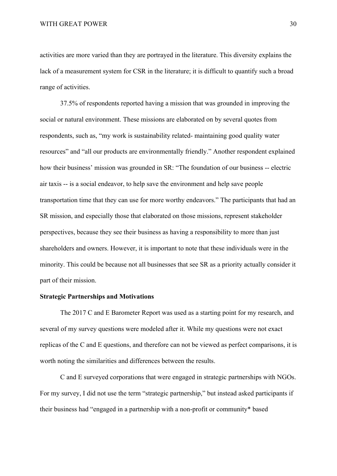activities are more varied than they are portrayed in the literature. This diversity explains the lack of a measurement system for CSR in the literature; it is difficult to quantify such a broad range of activities.

37.5% of respondents reported having a mission that was grounded in improving the social or natural environment. These missions are elaborated on by several quotes from respondents, such as, "my work is sustainability related- maintaining good quality water resources" and "all our products are environmentally friendly." Another respondent explained how their business' mission was grounded in SR: "The foundation of our business -- electric air taxis -- is a social endeavor, to help save the environment and help save people transportation time that they can use for more worthy endeavors." The participants that had an SR mission, and especially those that elaborated on those missions, represent stakeholder perspectives, because they see their business as having a responsibility to more than just shareholders and owners. However, it is important to note that these individuals were in the minority. This could be because not all businesses that see SR as a priority actually consider it part of their mission.

### **Strategic Partnerships and Motivations**

The 2017 C and E Barometer Report was used as a starting point for my research, and several of my survey questions were modeled after it. While my questions were not exact replicas of the C and E questions, and therefore can not be viewed as perfect comparisons, it is worth noting the similarities and differences between the results.

C and E surveyed corporations that were engaged in strategic partnerships with NGOs. For my survey, I did not use the term "strategic partnership," but instead asked participants if their business had "engaged in a partnership with a non-profit or community\* based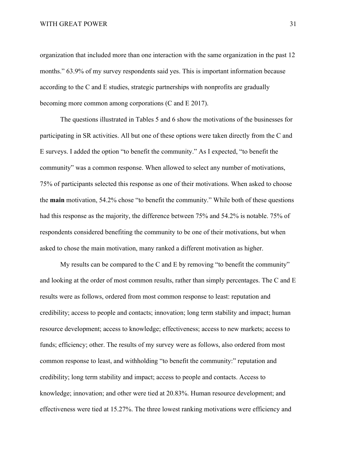organization that included more than one interaction with the same organization in the past 12 months." 63.9% of my survey respondents said yes. This is important information because according to the C and E studies, strategic partnerships with nonprofits are gradually becoming more common among corporations (C and E 2017).

The questions illustrated in Tables 5 and 6 show the motivations of the businesses for participating in SR activities. All but one of these options were taken directly from the C and E surveys. I added the option "to benefit the community." As I expected, "to benefit the community" was a common response. When allowed to select any number of motivations, 75% of participants selected this response as one of their motivations. When asked to choose the **main** motivation, 54.2% chose "to benefit the community." While both of these questions had this response as the majority, the difference between 75% and 54.2% is notable. 75% of respondents considered benefiting the community to be one of their motivations, but when asked to chose the main motivation, many ranked a different motivation as higher.

My results can be compared to the C and E by removing "to benefit the community" and looking at the order of most common results, rather than simply percentages. The C and E results were as follows, ordered from most common response to least: reputation and credibility; access to people and contacts; innovation; long term stability and impact; human resource development; access to knowledge; effectiveness; access to new markets; access to funds; efficiency; other. The results of my survey were as follows, also ordered from most common response to least, and withholding "to benefit the community:" reputation and credibility; long term stability and impact; access to people and contacts. Access to knowledge; innovation; and other were tied at 20.83%. Human resource development; and effectiveness were tied at 15.27%. The three lowest ranking motivations were efficiency and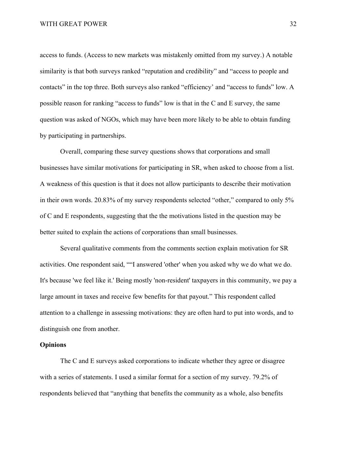access to funds. (Access to new markets was mistakenly omitted from my survey.) A notable similarity is that both surveys ranked "reputation and credibility" and "access to people and contacts" in the top three. Both surveys also ranked "efficiency' and "access to funds" low. A possible reason for ranking "access to funds" low is that in the C and E survey, the same question was asked of NGOs, which may have been more likely to be able to obtain funding by participating in partnerships.

Overall, comparing these survey questions shows that corporations and small businesses have similar motivations for participating in SR, when asked to choose from a list. A weakness of this question is that it does not allow participants to describe their motivation in their own words. 20.83% of my survey respondents selected "other," compared to only 5% of C and E respondents, suggesting that the the motivations listed in the question may be better suited to explain the actions of corporations than small businesses.

Several qualitative comments from the comments section explain motivation for SR activities. One respondent said, ""I answered 'other' when you asked why we do what we do. It's because 'we feel like it.' Being mostly 'non-resident' taxpayers in this community, we pay a large amount in taxes and receive few benefits for that payout." This respondent called attention to a challenge in assessing motivations: they are often hard to put into words, and to distinguish one from another.

### **Opinions**

The C and E surveys asked corporations to indicate whether they agree or disagree with a series of statements. I used a similar format for a section of my survey. 79.2% of respondents believed that "anything that benefits the community as a whole, also benefits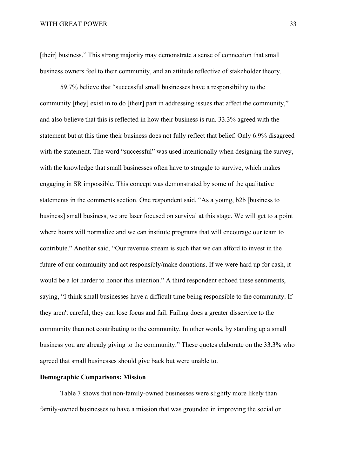#### WITH GREAT POWER 33

[their] business." This strong majority may demonstrate a sense of connection that small business owners feel to their community, and an attitude reflective of stakeholder theory.

59.7% believe that "successful small businesses have a responsibility to the community [they] exist in to do [their] part in addressing issues that affect the community," and also believe that this is reflected in how their business is run. 33.3% agreed with the statement but at this time their business does not fully reflect that belief. Only 6.9% disagreed with the statement. The word "successful" was used intentionally when designing the survey, with the knowledge that small businesses often have to struggle to survive, which makes engaging in SR impossible. This concept was demonstrated by some of the qualitative statements in the comments section. One respondent said, "As a young, b2b [business to business] small business, we are laser focused on survival at this stage. We will get to a point where hours will normalize and we can institute programs that will encourage our team to contribute." Another said, "Our revenue stream is such that we can afford to invest in the future of our community and act responsibly/make donations. If we were hard up for cash, it would be a lot harder to honor this intention." A third respondent echoed these sentiments, saying, "I think small businesses have a difficult time being responsible to the community. If they aren't careful, they can lose focus and fail. Failing does a greater disservice to the community than not contributing to the community. In other words, by standing up a small business you are already giving to the community." These quotes elaborate on the 33.3% who agreed that small businesses should give back but were unable to.

### **Demographic Comparisons: Mission**

Table 7 shows that non-family-owned businesses were slightly more likely than family-owned businesses to have a mission that was grounded in improving the social or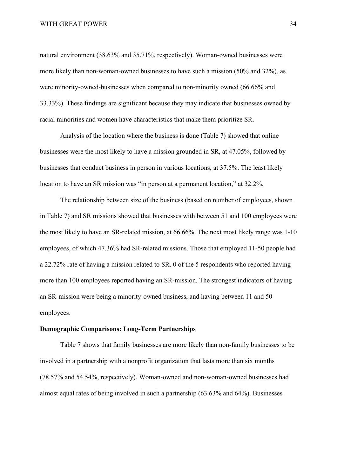natural environment (38.63% and 35.71%, respectively). Woman-owned businesses were more likely than non-woman-owned businesses to have such a mission (50% and 32%), as were minority-owned-businesses when compared to non-minority owned (66.66% and 33.33%). These findings are significant because they may indicate that businesses owned by racial minorities and women have characteristics that make them prioritize SR.

Analysis of the location where the business is done (Table 7) showed that online businesses were the most likely to have a mission grounded in SR, at 47.05%, followed by businesses that conduct business in person in various locations, at 37.5%. The least likely location to have an SR mission was "in person at a permanent location," at 32.2%.

The relationship between size of the business (based on number of employees, shown in Table 7) and SR missions showed that businesses with between 51 and 100 employees were the most likely to have an SR-related mission, at 66.66%. The next most likely range was 1-10 employees, of which 47.36% had SR-related missions. Those that employed 11-50 people had a 22.72% rate of having a mission related to SR. 0 of the 5 respondents who reported having more than 100 employees reported having an SR-mission. The strongest indicators of having an SR-mission were being a minority-owned business, and having between 11 and 50 employees.

### **Demographic Comparisons: Long-Term Partnerships**

Table 7 shows that family businesses are more likely than non-family businesses to be involved in a partnership with a nonprofit organization that lasts more than six months (78.57% and 54.54%, respectively). Woman-owned and non-woman-owned businesses had almost equal rates of being involved in such a partnership (63.63% and 64%). Businesses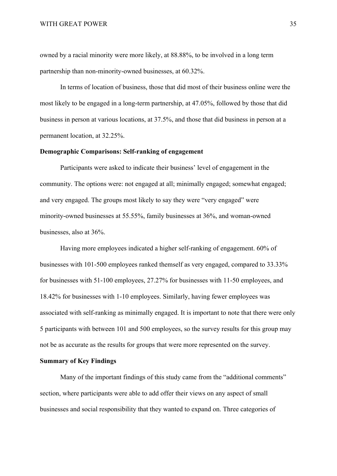owned by a racial minority were more likely, at 88.88%, to be involved in a long term partnership than non-minority-owned businesses, at 60.32%.

In terms of location of business, those that did most of their business online were the most likely to be engaged in a long-term partnership, at 47.05%, followed by those that did business in person at various locations, at 37.5%, and those that did business in person at a permanent location, at 32.25%.

### **Demographic Comparisons: Self-ranking of engagement**

Participants were asked to indicate their business' level of engagement in the community. The options were: not engaged at all; minimally engaged; somewhat engaged; and very engaged. The groups most likely to say they were "very engaged" were minority-owned businesses at 55.55%, family businesses at 36%, and woman-owned businesses, also at 36%.

Having more employees indicated a higher self-ranking of engagement. 60% of businesses with 101-500 employees ranked themself as very engaged, compared to 33.33% for businesses with 51-100 employees, 27.27% for businesses with 11-50 employees, and 18.42% for businesses with 1-10 employees. Similarly, having fewer employees was associated with self-ranking as minimally engaged. It is important to note that there were only 5 participants with between 101 and 500 employees, so the survey results for this group may not be as accurate as the results for groups that were more represented on the survey.

### **Summary of Key Findings**

Many of the important findings of this study came from the "additional comments" section, where participants were able to add offer their views on any aspect of small businesses and social responsibility that they wanted to expand on. Three categories of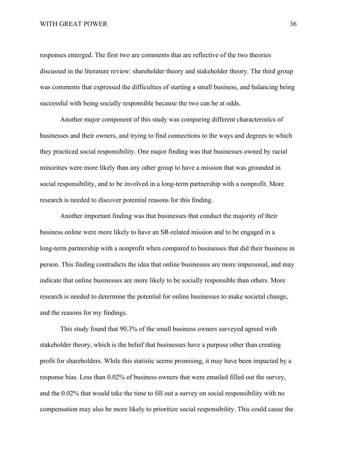responses emerged. The first two are comments that are reflective of the two theories discussed in the literature review: shareholder theory and stakeholder theory. The third group was comments that expressed the difficulties of starting a small business, and balancing being successful with being socially responsible because the two can be at odds.

Another major component of this study was comparing different characteristics of businesses and their owners, and trying to find connections to the ways and degrees to which they practiced social responsibility. One major finding was that businesses owned by racial minorities were more likely than any other group to have a mission that was grounded in social responsibility, and to be involved in a long-term partnership with a nonprofit. More research is needed to discover potential reasons for this finding.

Another important finding was that businesses that conduct the majority of their business online were more likely to have an SR-related mission and to be engaged in a long-term partnership with a nonprofit when compared to businesses that did their business in person. This finding contradicts the idea that online businesses are more impersonal, and may indicate that online businesses are more likely to be socially responsible than others. More research is needed to determine the potential for online businesses to make societal change, and the reasons for my findings.

This study found that 90.3% of the small business owners surveyed agreed with stakeholder theory, which is the belief that businesses have a purpose other than creating profit for shareholders. While this statistic seems promising, it may have been impacted by a response bias. Less than 0.02% of business owners that were emailed filled out the survey, and the 0.02% that would take the time to fill out a survey on social responsibility with no compensation may also be more likely to prioritize social responsibility. This could cause the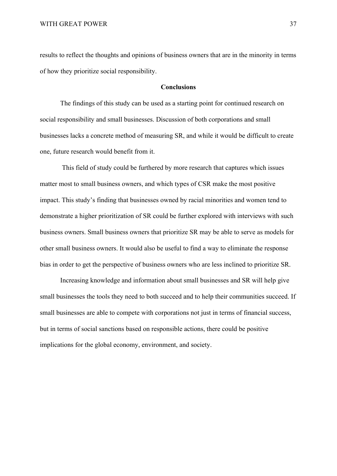results to reflect the thoughts and opinions of business owners that are in the minority in terms of how they prioritize social responsibility.

### **Conclusions**

The findings of this study can be used as a starting point for continued research on social responsibility and small businesses. Discussion of both corporations and small businesses lacks a concrete method of measuring SR, and while it would be difficult to create one, future research would benefit from it.

 This field of study could be furthered by more research that captures which issues matter most to small business owners, and which types of CSR make the most positive impact. This study's finding that businesses owned by racial minorities and women tend to demonstrate a higher prioritization of SR could be further explored with interviews with such business owners. Small business owners that prioritize SR may be able to serve as models for other small business owners. It would also be useful to find a way to eliminate the response bias in order to get the perspective of business owners who are less inclined to prioritize SR.

Increasing knowledge and information about small businesses and SR will help give small businesses the tools they need to both succeed and to help their communities succeed. If small businesses are able to compete with corporations not just in terms of financial success, but in terms of social sanctions based on responsible actions, there could be positive implications for the global economy, environment, and society.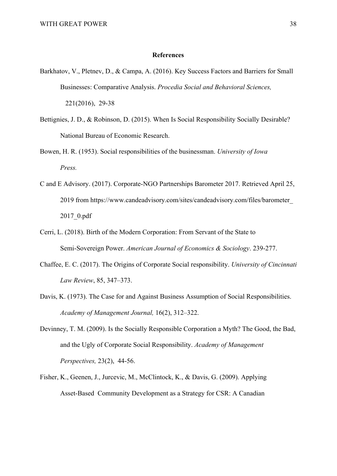### **References**

- Barkhatov, V., Pletnev, D., & Campa, A. (2016). Key Success Factors and Barriers for Small Businesses: Comparative Analysis. *Procedia Social and Behavioral Sciences,* 221(2016), 29-38
- Bettignies, J. D., & Robinson, D. (2015). When Is Social Responsibility Socially Desirable? National Bureau of Economic Research.
- Bowen, H. R. (1953). Social responsibilities of the businessman. *University of Iowa Press.*
- C and E Advisory. (2017). Corporate-NGO Partnerships Barometer 2017. Retrieved April 25, 2019 from https://www.candeadvisory.com/sites/candeadvisory.com/files/barometer\_ 2017\_0.pdf
- Cerri, L. (2018). Birth of the Modern Corporation: From Servant of the State to Semi-Sovereign Power. *American Journal of Economics & Sociology*. 239-277.
- Chaffee, E. C. (2017). The Origins of Corporate Social responsibility. *University of Cincinnati Law Review*, 85, 347–373.
- Davis, K. (1973). The Case for and Against Business Assumption of Social Responsibilities. *Academy of Management Journal,* 16(2), 312–322.
- Devinney, T. M. (2009). Is the Socially Responsible Corporation a Myth? The Good, the Bad, and the Ugly of Corporate Social Responsibility. *Academy of Management Perspectives,* 23(2), 44-56.
- Fisher, K., Geenen, J., Jurcevic, M., McClintock, K., & Davis, G. (2009). Applying Asset-Based Community Development as a Strategy for CSR: A Canadian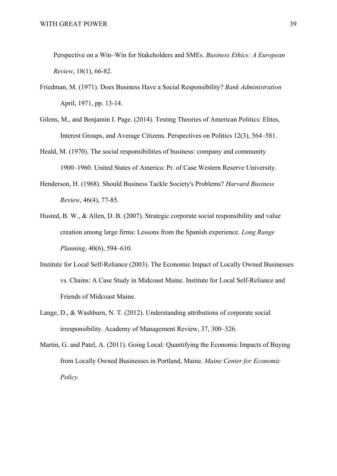\_\_\_\_Perspective on a Win–Win for Stakeholders and SMEs. *Business Ethics: A European \_\_\_\_Review*, 18(1), 66-82.

- Friedman, M. (1971). Does Business Have a Social Responsibility? *Bank Administration* April, 1971, pp. 13-14.
- Gilens, M., and Benjamin I. Page. (2014). Testing Theories of American Politics: Elites, Interest Groups, and Average Citizens. Perspectives on Politics 12(3), 564–581.
- Heald, M. (1970). The social responsibilities of business: company and community 1900–1960. United States of America: Pr. of Case Western Reserve University.
- Henderson, H. (1968). Should Business Tackle Society's Problems? *Harvard Business \_\_\_\_\_\_Review*, 46(4), 77-85.
- Husted, B. W., & Allen, D. B. (2007). Strategic corporate social responsibility and value \_\_\_\_\_\_creation among large firms: Lessons from the Spanish experience. *Long Range \_\_\_\_\_\_Planning*, 40(6), 594–610.
- Institute for Local Self-Reliance (2003). The Economic Impact of Locally Owned Businesses vs. Chains: A Case Study in Midcoast Maine. Institute for Local Self-Reliance and Friends of Midcoast Maine.
- Lange, D., & Washburn, N. T. (2012). Understanding attributions of corporate social irresponsibility. Academy of Management Review, 37, 300–326.
- Martin, G. and Patel, A. (2011). Going Local: Quantifying the Economic Impacts of Buying from Locally Owned Businesses in Portland, Maine. *Maine Center for Economic Policy.*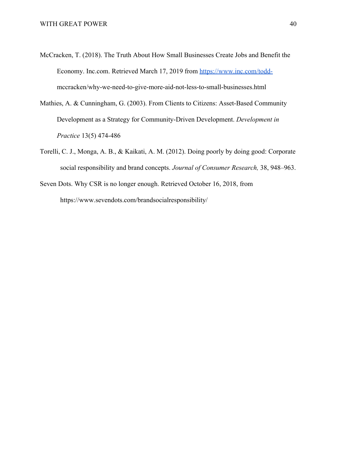- McCracken, T. (2018). The Truth About How Small Businesses Create Jobs and Benefit the Economy. Inc.com. Retrieved March 17, 2019 from [https://www.inc.com/todd](https://www.inc.com/todd-) mccracken/why-we-need-to-give-more-aid-not-less-to-small-businesses.html
- Mathies, A. & Cunningham, G. (2003). From Clients to Citizens: Asset-Based Community \_\_\_\_\_Development as a Strategy for Community-Driven Development. *Development in \_\_\_\_\_Practice* 13(5) 474-486
- Torelli, C. J., Monga, A. B., & Kaikati, A. M. (2012). Doing poorly by doing good: Corporate social responsibility and brand concepts. *Journal of Consumer Research,* 38, 948–963.
- Seven Dots. Why CSR is no longer enough. Retrieved October 16, 2018, from https://www.sevendots.com/brandsocialresponsibility/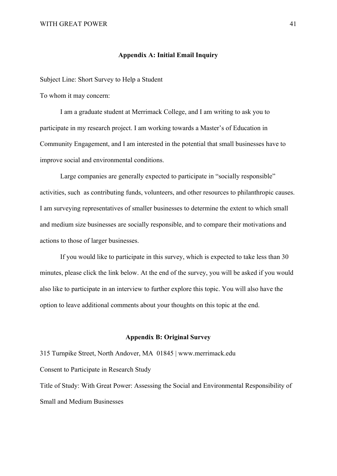### **Appendix A: Initial Email Inquiry**

Subject Line: Short Survey to Help a Student

To whom it may concern:

I am a graduate student at Merrimack College, and I am writing to ask you to participate in my research project. I am working towards a Master's of Education in Community Engagement, and I am interested in the potential that small businesses have to improve social and environmental conditions.

Large companies are generally expected to participate in "socially responsible" activities, such as contributing funds, volunteers, and other resources to philanthropic causes. I am surveying representatives of smaller businesses to determine the extent to which small and medium size businesses are socially responsible, and to compare their motivations and actions to those of larger businesses.

If you would like to participate in this survey, which is expected to take less than 30 minutes, please click the link below. At the end of the survey, you will be asked if you would also like to participate in an interview to further explore this topic. You will also have the option to leave additional comments about your thoughts on this topic at the end.

### **Appendix B: Original Survey**

315 Turnpike Street, North Andover, MA 01845 | www.merrimack.edu Consent to Participate in Research Study Title of Study: With Great Power: Assessing the Social and Environmental Responsibility of Small and Medium Businesses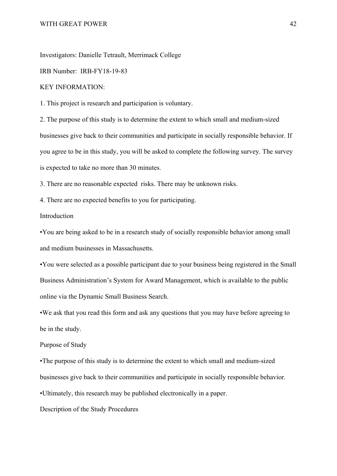Investigators: Danielle Tetrault, Merrimack College

IRB Number: IRB-FY18-19-83

#### KEY INFORMATION:

1. This project is research and participation is voluntary.

2. The purpose of this study is to determine the extent to which small and medium-sized businesses give back to their communities and participate in socially responsible behavior. If you agree to be in this study, you will be asked to complete the following survey. The survey is expected to take no more than 30 minutes.

3. There are no reasonable expected risks. There may be unknown risks.

4. There are no expected benefits to you for participating.

Introduction

•You are being asked to be in a research study of socially responsible behavior among small and medium businesses in Massachusetts.

•You were selected as a possible participant due to your business being registered in the Small Business Administration's System for Award Management, which is available to the public online via the Dynamic Small Business Search.

•We ask that you read this form and ask any questions that you may have before agreeing to be in the study.

### Purpose of Study

•The purpose of this study is to determine the extent to which small and medium-sized businesses give back to their communities and participate in socially responsible behavior.

•Ultimately, this research may be published electronically in a paper.

Description of the Study Procedures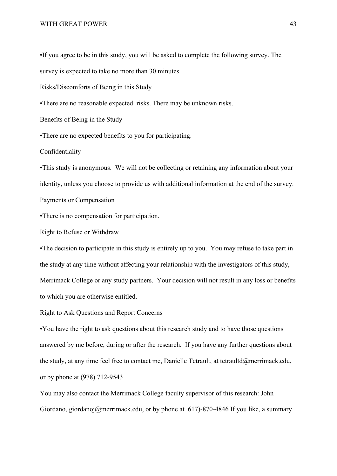•If you agree to be in this study, you will be asked to complete the following survey. The survey is expected to take no more than 30 minutes.

Risks/Discomforts of Being in this Study

•There are no reasonable expected risks. There may be unknown risks.

Benefits of Being in the Study

•There are no expected benefits to you for participating.

Confidentiality

•This study is anonymous. We will not be collecting or retaining any information about your identity, unless you choose to provide us with additional information at the end of the survey. Payments or Compensation

•There is no compensation for participation.

Right to Refuse or Withdraw

•The decision to participate in this study is entirely up to you. You may refuse to take part in the study at any time without affecting your relationship with the investigators of this study, Merrimack College or any study partners. Your decision will not result in any loss or benefits to which you are otherwise entitled.

Right to Ask Questions and Report Concerns

•You have the right to ask questions about this research study and to have those questions answered by me before, during or after the research. If you have any further questions about the study, at any time feel free to contact me, Danielle Tetrault, at tetraultd@merrimack.edu, or by phone at (978) 712-9543

You may also contact the Merrimack College faculty supervisor of this research: John Giordano, giordanoj@merrimack.edu, or by phone at 617)-870-4846 If you like, a summary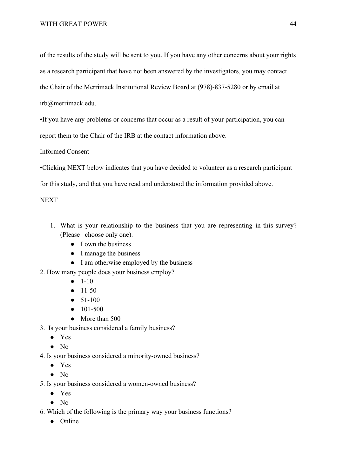of the results of the study will be sent to you. If you have any other concerns about your rights as a research participant that have not been answered by the investigators, you may contact the Chair of the Merrimack Institutional Review Board at (978)-837-5280 or by email at irb@merrimack.edu.

•If you have any problems or concerns that occur as a result of your participation, you can report them to the Chair of the IRB at the contact information above.

Informed Consent

•Clicking NEXT below indicates that you have decided to volunteer as a research participant

for this study, and that you have read and understood the information provided above.

**NEXT** 

- 1. What is your relationship to the business that you are representing in this survey? (Please choose only one).
	- I own the business
	- I manage the business
	- I am otherwise employed by the business
- 2. How many people does your business employ?
	- $\bullet$  1-10
	- $\bullet$  11-50
	- 51-100
	- 101-500
	- More than 500

3. Is your business considered a family business?

- Yes
- No
- 4. Is your business considered a minority-owned business?
	- Yes
	- No
- 5. Is your business considered a women-owned business?
	- Yes
	- No
- 6. Which of the following is the primary way your business functions?
	- Online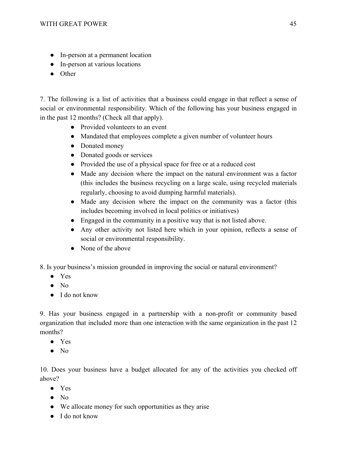- In-person at a permanent location
- In-person at various locations
- Other

7. The following is a list of activities that a business could engage in that reflect a sense of social or environmental responsibility. Which of the following has your business engaged in in the past 12 months? (Check all that apply).

- Provided volunteers to an event
- Mandated that employees complete a given number of volunteer hours
- Donated money
- Donated goods or services
- Provided the use of a physical space for free or at a reduced cost
- Made any decision where the impact on the natural environment was a factor (this includes the business recycling on a large scale, using recycled materials regularly, choosing to avoid dumping harmful materials).
- Made any decision where the impact on the community was a factor (this includes becoming involved in local politics or initiatives)
- Engaged in the community in a positive way that is not listed above.
- Any other activity not listed here which in your opinion, reflects a sense of social or environmental responsibility.
- None of the above

8. Is your business's mission grounded in improving the social or natural environment?

- Yes
- No
- I do not know

9. Has your business engaged in a partnership with a non-profit or community based organization that included more than one interaction with the same organization in the past 12 months?

- Yes
- No

10. Does your business have a budget allocated for any of the activities you checked off above?

- Yes
- No
- We allocate money for such opportunities as they arise
- I do not know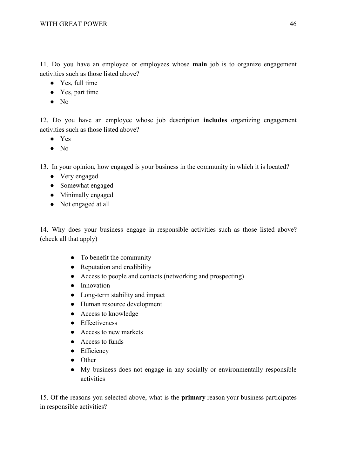11. Do you have an employee or employees whose **main** job is to organize engagement activities such as those listed above?

- Yes, full time
- Yes, part time
- No

12. Do you have an employee whose job description **includes** organizing engagement activities such as those listed above?

- Yes
- No

13. In your opinion, how engaged is your business in the community in which it is located?

- Very engaged
- Somewhat engaged
- Minimally engaged
- Not engaged at all

14. Why does your business engage in responsible activities such as those listed above? (check all that apply)

- To benefit the community
- Reputation and credibility
- Access to people and contacts (networking and prospecting)
- Innovation
- Long-term stability and impact
- Human resource development
- Access to knowledge
- Effectiveness
- Access to new markets
- Access to funds
- Efficiency
- Other
- My business does not engage in any socially or environmentally responsible activities

15. Of the reasons you selected above, what is the **primary** reason your business participates in responsible activities?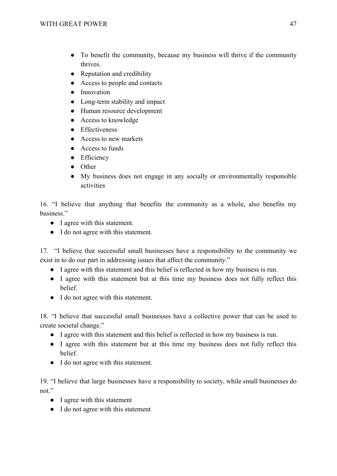- To benefit the community, because my business will thrive if the community thrives.
- Reputation and credibility
- Access to people and contacts
- Innovation
- Long-term stability and impact
- Human resource development
- Access to knowledge
- Effectiveness
- Access to new markets
- Access to funds
- Efficiency
- Other
- My business does not engage in any socially or environmentally responsible activities

16. "I believe that anything that benefits the community as a whole, also benefits my business."

- I agree with this statement.
- I do not agree with this statement.

17. "I believe that successful small businesses have a responsibility to the community we exist in to do our part in addressing issues that affect the community."

- I agree with this statement and this belief is reflected in how my business is run.
- I agree with this statement but at this time my business does not fully reflect this belief.
- I do not agree with this statement.

18. "I believe that successful small businesses have a collective power that can be used to create societal change."

- I agree with this statement and this belief is reflected in how my business is run.
- I agree with this statement but at this time my business does not fully reflect this belief.
- I do not agree with this statement.

19. "I believe that large businesses have a responsibility to society, while small businesses do not."

- I agree with this statement
- I do not agree with this statement